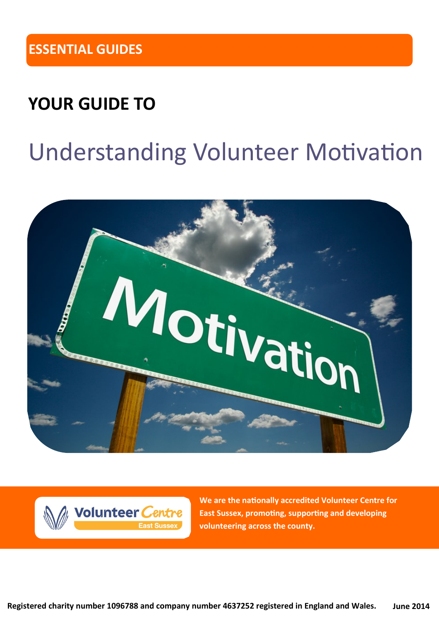### **YOUR GUIDE TO**

# Understanding Volunteer Motivation





**We are the nationally accredited Volunteer Centre for East Sussex, promoting, supporting and developing volunteering across the county.**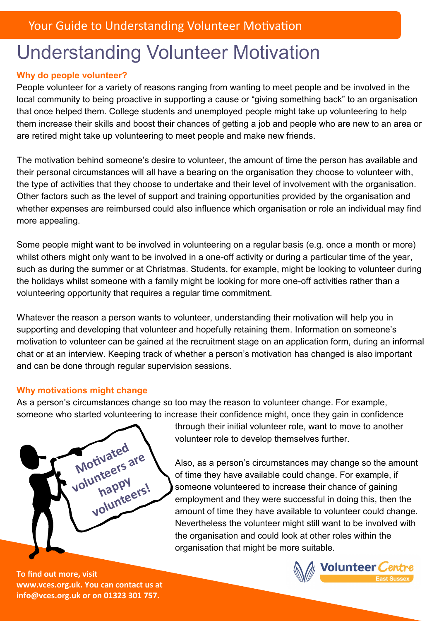## Understanding Volunteer Motivation

### **Why do people volunteer?**

People volunteer for a variety of reasons ranging from wanting to meet people and be involved in the local community to being proactive in supporting a cause or "giving something back" to an organisation that once helped them. College students and unemployed people might take up volunteering to help them increase their skills and boost their chances of getting a job and people who are new to an area or are retired might take up volunteering to meet people and make new friends.

The motivation behind someone's desire to volunteer, the amount of time the person has available and their personal circumstances will all have a bearing on the organisation they choose to volunteer with, the type of activities that they choose to undertake and their level of involvement with the organisation. Other factors such as the level of support and training opportunities provided by the organisation and whether expenses are reimbursed could also influence which organisation or role an individual may find more appealing.

Some people might want to be involved in volunteering on a regular basis (e.g. once a month or more) whilst others might only want to be involved in a one-off activity or during a particular time of the year, such as during the summer or at Christmas. Students, for example, might be looking to volunteer during the holidays whilst someone with a family might be looking for more one-off activities rather than a volunteering opportunity that requires a regular time commitment.

Whatever the reason a person wants to volunteer, understanding their motivation will help you in supporting and developing that volunteer and hopefully retaining them. Information on someone's motivation to volunteer can be gained at the recruitment stage on an application form, during an informal chat or at an interview. Keeping track of whether a person's motivation has changed is also important and can be done through regular supervision sessions.

### **Why motivations might change**

As a person's circumstances change so too may the reason to volunteer change. For example, someone who started volunteering to increase their confidence might, once they gain in confidence

**Motivated volunteers are happy**  happy<br>volunteers!

through their initial volunteer role, want to move to another volunteer role to develop themselves further.

Also, as a person's circumstances may change so the amount of time they have available could change. For example, if someone volunteered to increase their chance of gaining employment and they were successful in doing this, then the amount of time they have available to volunteer could change. Nevertheless the volunteer might still want to be involved with the organisation and could look at other roles within the organisation that might be more suitable.

**To find out more, visit www.vces.org.uk. You can contact us at info@vces.org.uk or on 01323 301 757.**